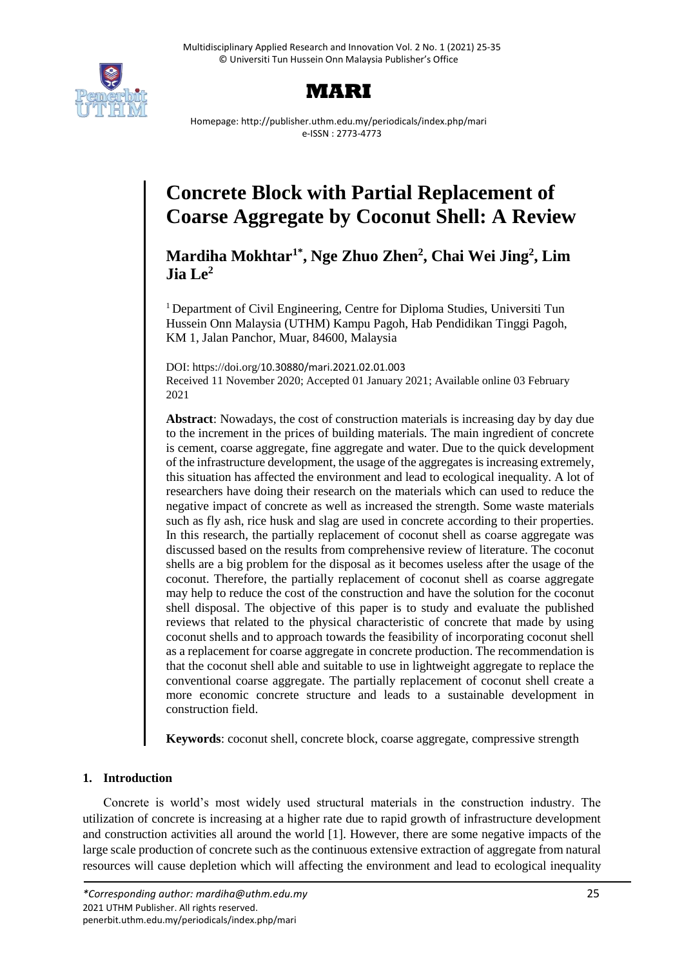



Homepage: http://publisher.uthm.edu.my/periodicals/index.php/mari e-ISSN : 2773-4773

# **Concrete Block with Partial Replacement of Coarse Aggregate by Coconut Shell: A Review**

**Mardiha Mokhtar1\*, Nge Zhuo Zhen<sup>2</sup> , Chai Wei Jing<sup>2</sup> , Lim**   $Jia Le<sup>2</sup>$ 

<sup>1</sup> Department of Civil Engineering, Centre for Diploma Studies, Universiti Tun Hussein Onn Malaysia (UTHM) Kampu Pagoh, Hab Pendidikan Tinggi Pagoh, KM 1, Jalan Panchor, Muar, 84600, Malaysia

DOI: https://doi.org/10.30880/mari.2021.02.01.003 Received 11 November 2020; Accepted 01 January 2021; Available online 03 February 2021

**Abstract**: Nowadays, the cost of construction materials is increasing day by day due to the increment in the prices of building materials. The main ingredient of concrete is cement, coarse aggregate, fine aggregate and water. Due to the quick development of the infrastructure development, the usage of the aggregates is increasing extremely, this situation has affected the environment and lead to ecological inequality. A lot of researchers have doing their research on the materials which can used to reduce the negative impact of concrete as well as increased the strength. Some waste materials such as fly ash, rice husk and slag are used in concrete according to their properties. In this research, the partially replacement of coconut shell as coarse aggregate was discussed based on the results from comprehensive review of literature. The coconut shells are a big problem for the disposal as it becomes useless after the usage of the coconut. Therefore, the partially replacement of coconut shell as coarse aggregate may help to reduce the cost of the construction and have the solution for the coconut shell disposal. The objective of this paper is to study and evaluate the published reviews that related to the physical characteristic of concrete that made by using coconut shells and to approach towards the feasibility of incorporating coconut shell as a replacement for coarse aggregate in concrete production. The recommendation is that the coconut shell able and suitable to use in lightweight aggregate to replace the conventional coarse aggregate. The partially replacement of coconut shell create a more economic concrete structure and leads to a sustainable development in construction field.

**Keywords**: coconut shell, concrete block, coarse aggregate, compressive strength

## **1. Introduction**

Concrete is world's most widely used structural materials in the construction industry. The utilization of concrete is increasing at a higher rate due to rapid growth of infrastructure development and construction activities all around the world [1]. However, there are some negative impacts of the large scale production of concrete such as the continuous extensive extraction of aggregate from natural resources will cause depletion which will affecting the environment and lead to ecological inequality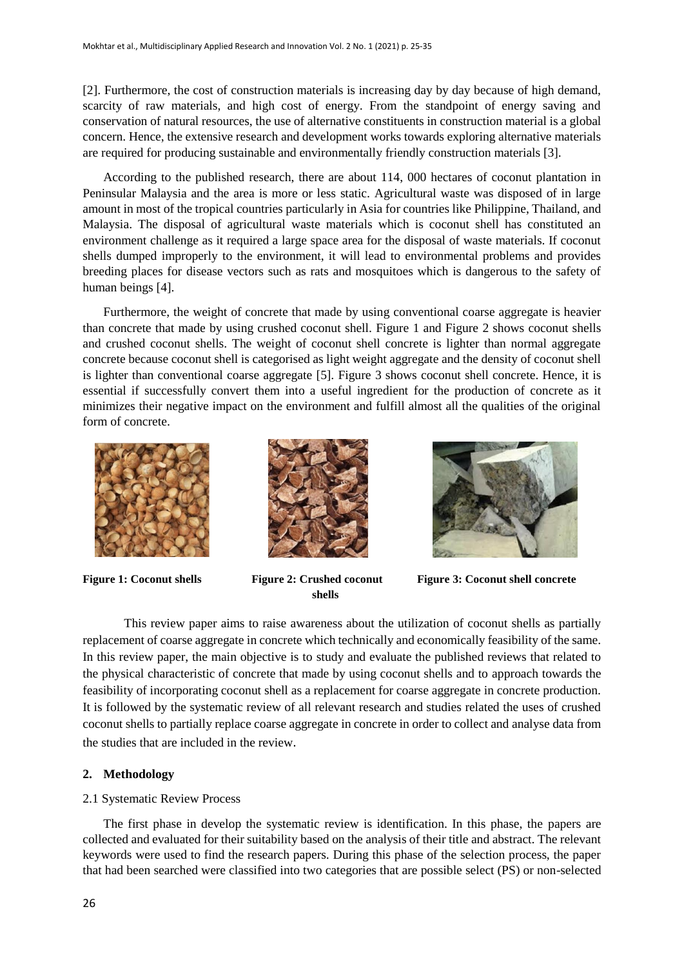[2]. Furthermore, the cost of construction materials is increasing day by day because of high demand, scarcity of raw materials, and high cost of energy. From the standpoint of energy saving and conservation of natural resources, the use of alternative constituents in construction material is a global concern. Hence, the extensive research and development works towards exploring alternative materials are required for producing sustainable and environmentally friendly construction materials [3].

According to the published research, there are about 114, 000 hectares of coconut plantation in Peninsular Malaysia and the area is more or less static. Agricultural waste was disposed of in large amount in most of the tropical countries particularly in Asia for countries like Philippine, Thailand, and Malaysia. The disposal of agricultural waste materials which is coconut shell has constituted an environment challenge as it required a large space area for the disposal of waste materials. If coconut shells dumped improperly to the environment, it will lead to environmental problems and provides breeding places for disease vectors such as rats and mosquitoes which is dangerous to the safety of human beings [4].

Furthermore, the weight of concrete that made by using conventional coarse aggregate is heavier than concrete that made by using crushed coconut shell. Figure 1 and Figure 2 shows coconut shells and crushed coconut shells. The weight of coconut shell concrete is lighter than normal aggregate concrete because coconut shell is categorised as light weight aggregate and the density of coconut shell is lighter than conventional coarse aggregate [5]. Figure 3 shows coconut shell concrete. Hence, it is essential if successfully convert them into a useful ingredient for the production of concrete as it minimizes their negative impact on the environment and fulfill almost all the qualities of the original form of concrete.





 **shells** 



**Figure 1: Coconut shells Figure 2: Crushed coconut Figure 3: Coconut shell concrete**

This review paper aims to raise awareness about the utilization of coconut shells as partially replacement of coarse aggregate in concrete which technically and economically feasibility of the same. In this review paper, the main objective is to study and evaluate the published reviews that related to the physical characteristic of concrete that made by using coconut shells and to approach towards the feasibility of incorporating coconut shell as a replacement for coarse aggregate in concrete production. It is followed by the systematic review of all relevant research and studies related the uses of crushed coconut shells to partially replace coarse aggregate in concrete in order to collect and analyse data from the studies that are included in the review.

## **2. Methodology**

## 2.1 Systematic Review Process

The first phase in develop the systematic review is identification. In this phase, the papers are collected and evaluated for their suitability based on the analysis of their title and abstract. The relevant keywords were used to find the research papers. During this phase of the selection process, the paper that had been searched were classified into two categories that are possible select (PS) or non-selected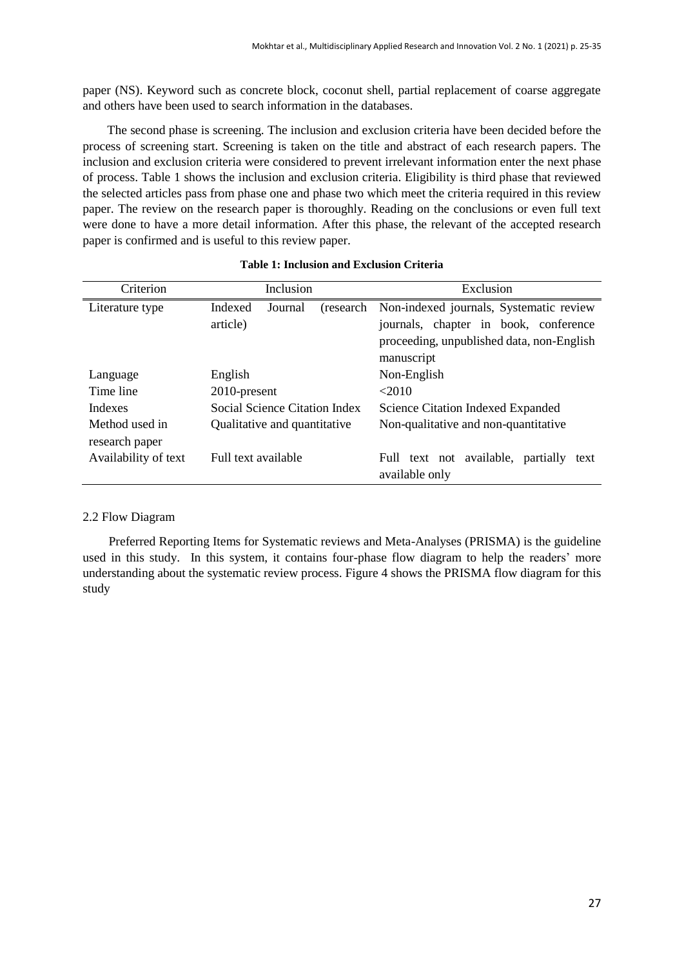paper (NS). Keyword such as concrete block, coconut shell, partial replacement of coarse aggregate and others have been used to search information in the databases.

The second phase is screening. The inclusion and exclusion criteria have been decided before the process of screening start. Screening is taken on the title and abstract of each research papers. The inclusion and exclusion criteria were considered to prevent irrelevant information enter the next phase of process. Table 1 shows the inclusion and exclusion criteria. Eligibility is third phase that reviewed the selected articles pass from phase one and phase two which meet the criteria required in this review paper. The review on the research paper is thoroughly. Reading on the conclusions or even full text were done to have a more detail information. After this phase, the relevant of the accepted research paper is confirmed and is useful to this review paper.

| Criterion            | Inclusion                        | Exclusion                                        |  |  |
|----------------------|----------------------------------|--------------------------------------------------|--|--|
| Literature type      | Indexed<br>Journal<br>(research) | Non-indexed journals, Systematic review          |  |  |
|                      | article)                         | journals, chapter in book, conference            |  |  |
|                      |                                  | proceeding, unpublished data, non-English        |  |  |
|                      |                                  | manuscript                                       |  |  |
| Language             | English                          | Non-English                                      |  |  |
| Time line            | 2010-present                     | <2010                                            |  |  |
| <b>Indexes</b>       | Social Science Citation Index    | Science Citation Indexed Expanded                |  |  |
| Method used in       | Qualitative and quantitative     | Non-qualitative and non-quantitative             |  |  |
| research paper       |                                  |                                                  |  |  |
| Availability of text | Full text available              | text not available,<br>partially<br>Full<br>text |  |  |
|                      |                                  | available only                                   |  |  |

#### **Table 1: Inclusion and Exclusion Criteria**

#### 2.2 Flow Diagram

Preferred Reporting Items for Systematic reviews and Meta-Analyses (PRISMA) is the guideline used in this study. In this system, it contains four-phase flow diagram to help the readers' more understanding about the systematic review process. Figure 4 shows the PRISMA flow diagram for this study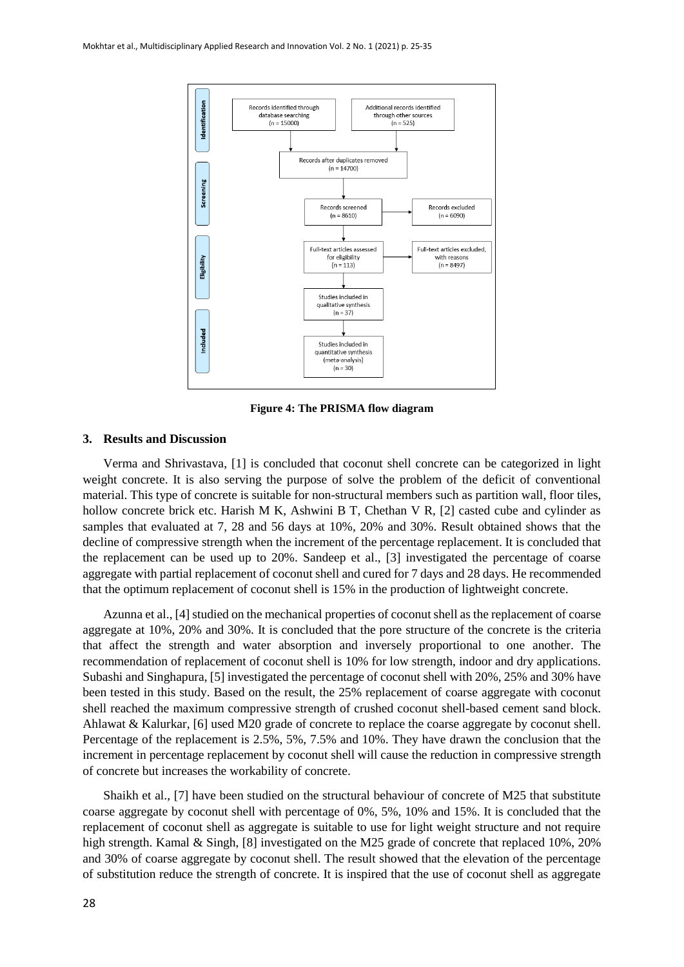

**Figure 4: The PRISMA flow diagram**

### **3. Results and Discussion**

Verma and Shrivastava, [1] is concluded that coconut shell concrete can be categorized in light weight concrete. It is also serving the purpose of solve the problem of the deficit of conventional material. This type of concrete is suitable for non-structural members such as partition wall, floor tiles, hollow concrete brick etc. Harish M K, Ashwini B T, Chethan V R, [2] casted cube and cylinder as samples that evaluated at 7, 28 and 56 days at 10%, 20% and 30%. Result obtained shows that the decline of compressive strength when the increment of the percentage replacement. It is concluded that the replacement can be used up to 20%. Sandeep et al., [3] investigated the percentage of coarse aggregate with partial replacement of coconut shell and cured for 7 days and 28 days. He recommended that the optimum replacement of coconut shell is 15% in the production of lightweight concrete.

Azunna et al., [4] studied on the mechanical properties of coconut shell as the replacement of coarse aggregate at 10%, 20% and 30%. It is concluded that the pore structure of the concrete is the criteria that affect the strength and water absorption and inversely proportional to one another. The recommendation of replacement of coconut shell is 10% for low strength, indoor and dry applications. Subashi and Singhapura, [5] investigated the percentage of coconut shell with 20%, 25% and 30% have been tested in this study. Based on the result, the 25% replacement of coarse aggregate with coconut shell reached the maximum compressive strength of crushed coconut shell-based cement sand block. Ahlawat & Kalurkar, [6] used M20 grade of concrete to replace the coarse aggregate by coconut shell. Percentage of the replacement is 2.5%, 5%, 7.5% and 10%. They have drawn the conclusion that the increment in percentage replacement by coconut shell will cause the reduction in compressive strength of concrete but increases the workability of concrete.

Shaikh et al., [7] have been studied on the structural behaviour of concrete of M25 that substitute coarse aggregate by coconut shell with percentage of 0%, 5%, 10% and 15%. It is concluded that the replacement of coconut shell as aggregate is suitable to use for light weight structure and not require high strength. Kamal & Singh, [8] investigated on the M25 grade of concrete that replaced 10%, 20% and 30% of coarse aggregate by coconut shell. The result showed that the elevation of the percentage of substitution reduce the strength of concrete. It is inspired that the use of coconut shell as aggregate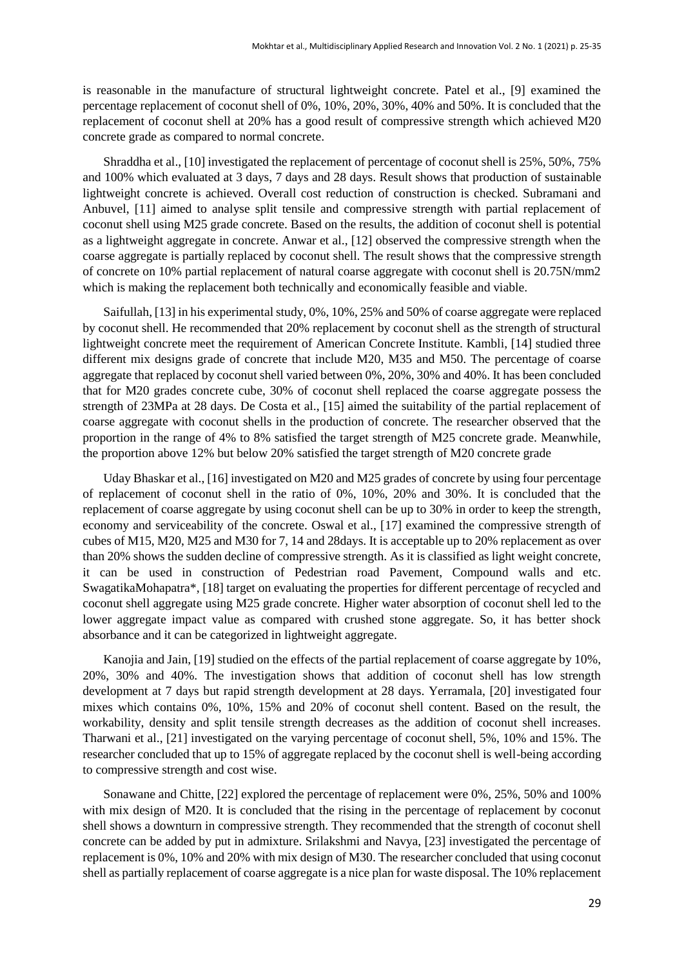is reasonable in the manufacture of structural lightweight concrete. Patel et al., [9] examined the percentage replacement of coconut shell of 0%, 10%, 20%, 30%, 40% and 50%. It is concluded that the replacement of coconut shell at 20% has a good result of compressive strength which achieved M20 concrete grade as compared to normal concrete.

Shraddha et al., [10] investigated the replacement of percentage of coconut shell is 25%, 50%, 75% and 100% which evaluated at 3 days, 7 days and 28 days. Result shows that production of sustainable lightweight concrete is achieved. Overall cost reduction of construction is checked. Subramani and Anbuvel, [11] aimed to analyse split tensile and compressive strength with partial replacement of coconut shell using M25 grade concrete. Based on the results, the addition of coconut shell is potential as a lightweight aggregate in concrete. Anwar et al., [12] observed the compressive strength when the coarse aggregate is partially replaced by coconut shell. The result shows that the compressive strength of concrete on 10% partial replacement of natural coarse aggregate with coconut shell is 20.75N/mm2 which is making the replacement both technically and economically feasible and viable.

Saifullah, [13] in his experimental study, 0%, 10%, 25% and 50% of coarse aggregate were replaced by coconut shell. He recommended that 20% replacement by coconut shell as the strength of structural lightweight concrete meet the requirement of American Concrete Institute. Kambli, [14] studied three different mix designs grade of concrete that include M20, M35 and M50. The percentage of coarse aggregate that replaced by coconut shell varied between 0%, 20%, 30% and 40%. It has been concluded that for M20 grades concrete cube, 30% of coconut shell replaced the coarse aggregate possess the strength of 23MPa at 28 days. De Costa et al., [15] aimed the suitability of the partial replacement of coarse aggregate with coconut shells in the production of concrete. The researcher observed that the proportion in the range of 4% to 8% satisfied the target strength of M25 concrete grade. Meanwhile, the proportion above 12% but below 20% satisfied the target strength of M20 concrete grade

Uday Bhaskar et al., [16] investigated on M20 and M25 grades of concrete by using four percentage of replacement of coconut shell in the ratio of 0%, 10%, 20% and 30%. It is concluded that the replacement of coarse aggregate by using coconut shell can be up to 30% in order to keep the strength, economy and serviceability of the concrete. Oswal et al., [17] examined the compressive strength of cubes of M15, M20, M25 and M30 for 7, 14 and 28days. It is acceptable up to 20% replacement as over than 20% shows the sudden decline of compressive strength. As it is classified as light weight concrete, it can be used in construction of Pedestrian road Pavement, Compound walls and etc. SwagatikaMohapatra\*, [18] target on evaluating the properties for different percentage of recycled and coconut shell aggregate using M25 grade concrete. Higher water absorption of coconut shell led to the lower aggregate impact value as compared with crushed stone aggregate. So, it has better shock absorbance and it can be categorized in lightweight aggregate.

Kanojia and Jain, [19] studied on the effects of the partial replacement of coarse aggregate by 10%, 20%, 30% and 40%. The investigation shows that addition of coconut shell has low strength development at 7 days but rapid strength development at 28 days. Yerramala, [20] investigated four mixes which contains 0%, 10%, 15% and 20% of coconut shell content. Based on the result, the workability, density and split tensile strength decreases as the addition of coconut shell increases. Tharwani et al., [21] investigated on the varying percentage of coconut shell, 5%, 10% and 15%. The researcher concluded that up to 15% of aggregate replaced by the coconut shell is well-being according to compressive strength and cost wise.

Sonawane and Chitte, [22] explored the percentage of replacement were 0%, 25%, 50% and 100% with mix design of M20. It is concluded that the rising in the percentage of replacement by coconut shell shows a downturn in compressive strength. They recommended that the strength of coconut shell concrete can be added by put in admixture. Srilakshmi and Navya, [23] investigated the percentage of replacement is 0%, 10% and 20% with mix design of M30. The researcher concluded that using coconut shell as partially replacement of coarse aggregate is a nice plan for waste disposal. The 10% replacement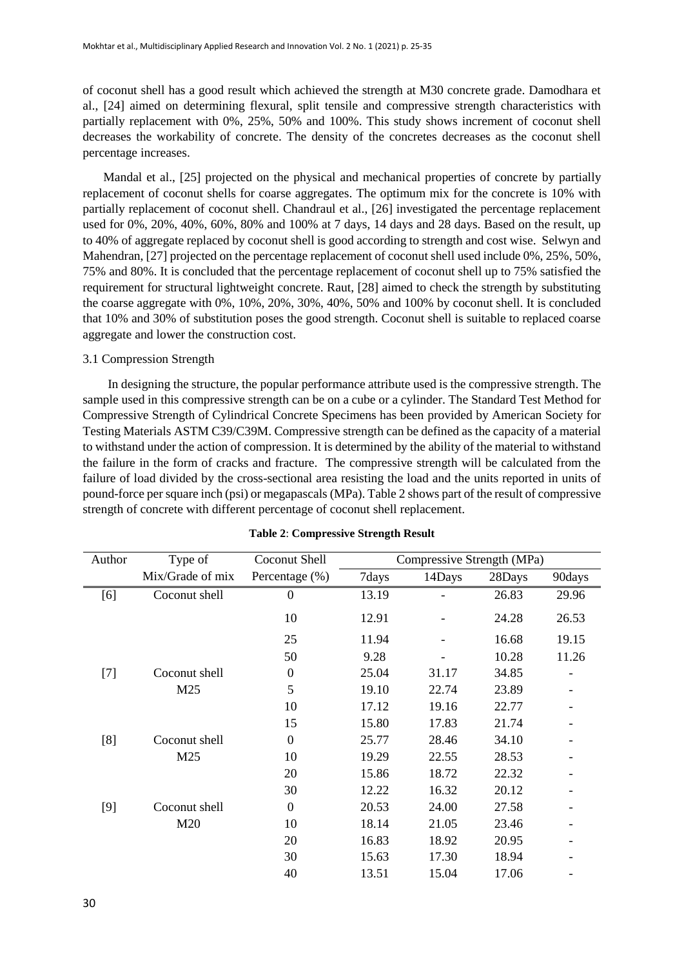of coconut shell has a good result which achieved the strength at M30 concrete grade. Damodhara et al., [24] aimed on determining flexural, split tensile and compressive strength characteristics with partially replacement with 0%, 25%, 50% and 100%. This study shows increment of coconut shell decreases the workability of concrete. The density of the concretes decreases as the coconut shell percentage increases.

Mandal et al., [25] projected on the physical and mechanical properties of concrete by partially replacement of coconut shells for coarse aggregates. The optimum mix for the concrete is 10% with partially replacement of coconut shell. Chandraul et al., [26] investigated the percentage replacement used for 0%, 20%, 40%, 60%, 80% and 100% at 7 days, 14 days and 28 days. Based on the result, up to 40% of aggregate replaced by coconut shell is good according to strength and cost wise. Selwyn and Mahendran, [27] projected on the percentage replacement of coconut shell used include 0%, 25%, 50%, 75% and 80%. It is concluded that the percentage replacement of coconut shell up to 75% satisfied the requirement for structural lightweight concrete. Raut, [28] aimed to check the strength by substituting the coarse aggregate with 0%, 10%, 20%, 30%, 40%, 50% and 100% by coconut shell. It is concluded that 10% and 30% of substitution poses the good strength. Coconut shell is suitable to replaced coarse aggregate and lower the construction cost.

## 3.1 Compression Strength

In designing the structure, the popular performance attribute used is the compressive strength. The sample used in this compressive strength can be on a cube or a cylinder. The Standard Test Method for Compressive Strength of Cylindrical Concrete Specimens has been provided by American Society for Testing Materials ASTM C39/C39M. Compressive strength can be defined as the capacity of a material to withstand under the action of compression. It is determined by the ability of the material to withstand the failure in the form of cracks and fracture. The compressive strength will be calculated from the failure of load divided by the cross-sectional area resisting the load and the units reported in units of pound-force per square inch (psi) or megapascals (MPa). Table 2 shows part of the result of compressive strength of concrete with different percentage of coconut shell replacement.

| Author | Type of          | Coconut Shell    |       | Compressive Strength (MPa) |        |        |
|--------|------------------|------------------|-------|----------------------------|--------|--------|
|        | Mix/Grade of mix | Percentage (%)   | 7days | 14Days                     | 28Days | 90days |
| $[6]$  | Coconut shell    | $\overline{0}$   | 13.19 |                            | 26.83  | 29.96  |
|        |                  | 10               | 12.91 |                            | 24.28  | 26.53  |
|        |                  | 25               | 11.94 |                            | 16.68  | 19.15  |
|        |                  | 50               | 9.28  |                            | 10.28  | 11.26  |
| $[7]$  | Coconut shell    | $\boldsymbol{0}$ | 25.04 | 31.17                      | 34.85  |        |
|        | M25              | 5                | 19.10 | 22.74                      | 23.89  |        |
|        |                  | 10               | 17.12 | 19.16                      | 22.77  |        |
|        |                  | 15               | 15.80 | 17.83                      | 21.74  |        |
| [8]    | Coconut shell    | $\overline{0}$   | 25.77 | 28.46                      | 34.10  |        |
|        | M25              | 10               | 19.29 | 22.55                      | 28.53  |        |
|        |                  | 20               | 15.86 | 18.72                      | 22.32  |        |
|        |                  | 30               | 12.22 | 16.32                      | 20.12  |        |
| $[9]$  | Coconut shell    | $\boldsymbol{0}$ | 20.53 | 24.00                      | 27.58  |        |
|        | M20              | 10               | 18.14 | 21.05                      | 23.46  |        |
|        |                  | 20               | 16.83 | 18.92                      | 20.95  |        |
|        |                  | 30               | 15.63 | 17.30                      | 18.94  |        |
|        |                  | 40               | 13.51 | 15.04                      | 17.06  |        |

#### **Table 2**: **Compressive Strength Result**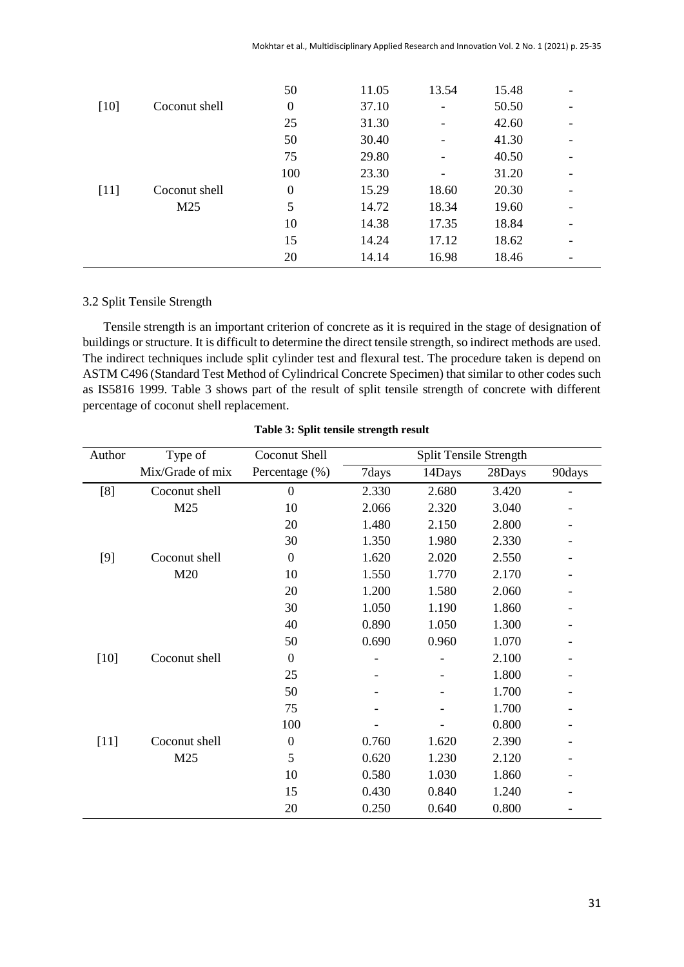|        |               | 50               | 11.05 | 13.54 | 15.48 |  |
|--------|---------------|------------------|-------|-------|-------|--|
| $[10]$ | Coconut shell | $\boldsymbol{0}$ | 37.10 | -     | 50.50 |  |
|        |               | 25               | 31.30 |       | 42.60 |  |
|        |               | 50               | 30.40 |       | 41.30 |  |
|        |               | 75               | 29.80 |       | 40.50 |  |
|        |               | 100              | 23.30 |       | 31.20 |  |
| $[11]$ | Coconut shell | $\boldsymbol{0}$ | 15.29 | 18.60 | 20.30 |  |
|        | M25           | 5                | 14.72 | 18.34 | 19.60 |  |
|        |               | 10               | 14.38 | 17.35 | 18.84 |  |
|        |               | 15               | 14.24 | 17.12 | 18.62 |  |
|        |               | 20               | 14.14 | 16.98 | 18.46 |  |

## 3.2 Split Tensile Strength

Tensile strength is an important criterion of concrete as it is required in the stage of designation of buildings or structure. It is difficult to determine the direct tensile strength, so indirect methods are used. The indirect techniques include split cylinder test and flexural test. The procedure taken is depend on ASTM C496 (Standard Test Method of Cylindrical Concrete Specimen) that similar to other codes such as IS5816 1999. Table 3 shows part of the result of split tensile strength of concrete with different percentage of coconut shell replacement.

| Author | Type of          | Coconut Shell    | Split Tensile Strength |        |        |        |
|--------|------------------|------------------|------------------------|--------|--------|--------|
|        | Mix/Grade of mix | Percentage (%)   | 7days                  | 14Days | 28Days | 90days |
| [8]    | Coconut shell    | $\mathbf{0}$     | 2.330                  | 2.680  | 3.420  |        |
|        | M25              | 10               | 2.066                  | 2.320  | 3.040  |        |
|        |                  | 20               | 1.480                  | 2.150  | 2.800  |        |
|        |                  | 30               | 1.350                  | 1.980  | 2.330  |        |
| $[9]$  | Coconut shell    | $\boldsymbol{0}$ | 1.620                  | 2.020  | 2.550  |        |
|        | M20              | 10               | 1.550                  | 1.770  | 2.170  |        |
|        |                  | 20               | 1.200                  | 1.580  | 2.060  |        |
|        |                  | 30               | 1.050                  | 1.190  | 1.860  |        |
|        |                  | 40               | 0.890                  | 1.050  | 1.300  |        |
|        |                  | 50               | 0.690                  | 0.960  | 1.070  |        |
| $[10]$ | Coconut shell    | $\boldsymbol{0}$ |                        |        | 2.100  |        |
|        |                  | 25               |                        |        | 1.800  |        |
|        |                  | 50               |                        |        | 1.700  |        |
|        |                  | 75               |                        |        | 1.700  |        |
|        |                  | 100              |                        |        | 0.800  |        |
| $[11]$ | Coconut shell    | $\boldsymbol{0}$ | 0.760                  | 1.620  | 2.390  |        |
|        | M25              | 5                | 0.620                  | 1.230  | 2.120  |        |
|        |                  | 10               | 0.580                  | 1.030  | 1.860  |        |
|        |                  | 15               | 0.430                  | 0.840  | 1.240  |        |
|        |                  | 20               | 0.250                  | 0.640  | 0.800  |        |

#### **Table 3: Split tensile strength result**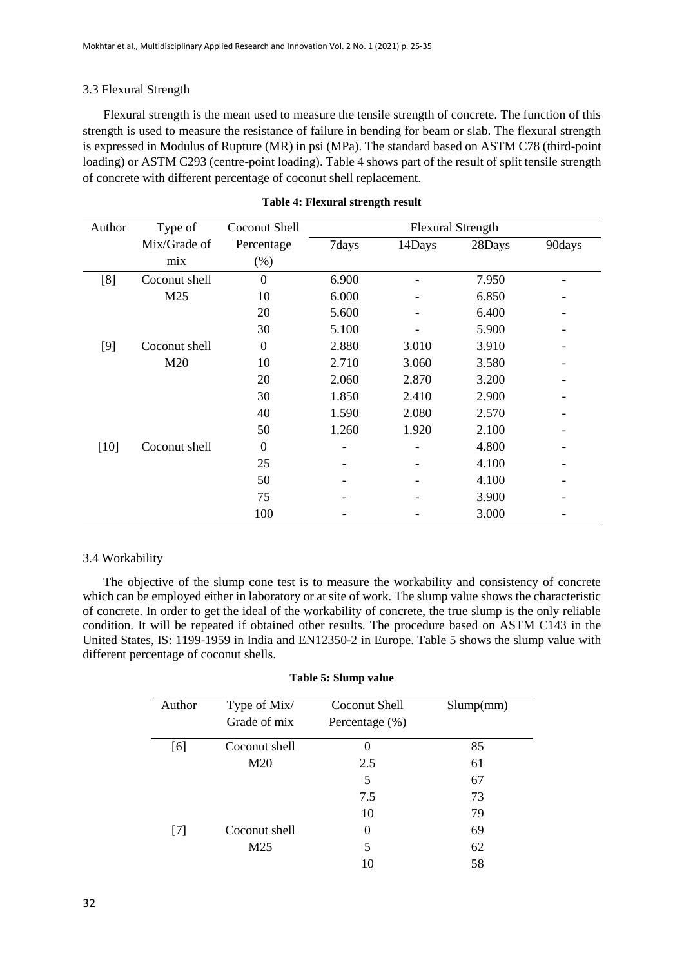## 3.3 Flexural Strength

Flexural strength is the mean used to measure the tensile strength of concrete. The function of this strength is used to measure the resistance of failure in bending for beam or slab. The flexural strength is expressed in Modulus of Rupture (MR) in psi (MPa). The standard based on ASTM C78 (third-point loading) or ASTM C293 (centre-point loading). Table 4 shows part of the result of split tensile strength of concrete with different percentage of coconut shell replacement.

| Author | Type of       | Coconut Shell    |       |        | <b>Flexural Strength</b> |        |
|--------|---------------|------------------|-------|--------|--------------------------|--------|
|        | Mix/Grade of  | Percentage       | 7days | 14Days | 28Days                   | 90days |
|        | mix           | $(\%)$           |       |        |                          |        |
| [8]    | Coconut shell | $\mathbf{0}$     | 6.900 |        | 7.950                    |        |
|        | M25           | 10               | 6.000 |        | 6.850                    |        |
|        |               | 20               | 5.600 |        | 6.400                    |        |
|        |               | 30               | 5.100 |        | 5.900                    |        |
| $[9]$  | Coconut shell | $\boldsymbol{0}$ | 2.880 | 3.010  | 3.910                    |        |
|        | M20           | 10               | 2.710 | 3.060  | 3.580                    |        |
|        |               | 20               | 2.060 | 2.870  | 3.200                    |        |
|        |               | 30               | 1.850 | 2.410  | 2.900                    |        |
|        |               | 40               | 1.590 | 2.080  | 2.570                    |        |
|        |               | 50               | 1.260 | 1.920  | 2.100                    |        |
| $[10]$ | Coconut shell | $\boldsymbol{0}$ |       |        | 4.800                    |        |
|        |               | 25               |       |        | 4.100                    |        |
|        |               | 50               |       |        | 4.100                    |        |
|        |               | 75               |       |        | 3.900                    |        |
|        |               | 100              |       |        | 3.000                    |        |

## **Table 4: Flexural strength result**

## 3.4 Workability

The objective of the slump cone test is to measure the workability and consistency of concrete which can be employed either in laboratory or at site of work. The slump value shows the characteristic of concrete. In order to get the ideal of the workability of concrete, the true slump is the only reliable condition. It will be repeated if obtained other results. The procedure based on ASTM C143 in the United States, IS: 1199-1959 in India and EN12350-2 in Europe. Table 5 shows the slump value with different percentage of coconut shells.

| Author | Type of Mix/  | Coconut Shell     | Slump(mm) |
|--------|---------------|-------------------|-----------|
|        | Grade of mix  | Percentage $(\%)$ |           |
| [6]    | Coconut shell | 0                 | 85        |
|        | M20           | 2.5               | 61        |
|        |               | 5                 | 67        |
|        |               | 7.5               | 73        |
|        |               | 10                | 79        |
| [7]    | Coconut shell | 0                 | 69        |
|        | M25           | 5                 | 62        |
|        |               | 10                | 58        |

### **Table 5: Slump value**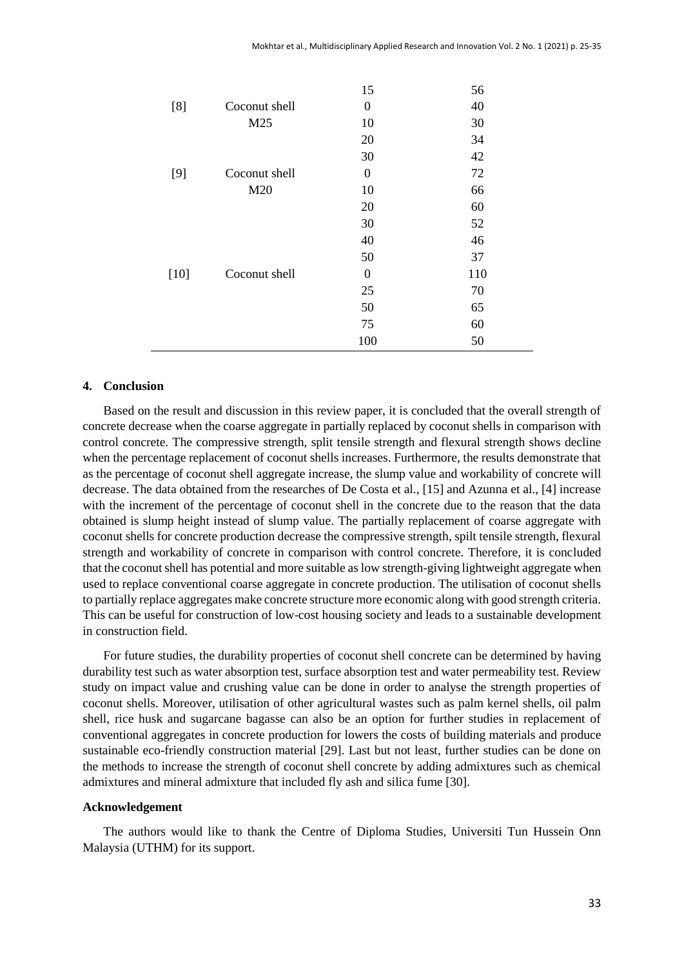|        |               | 15               | 56  |
|--------|---------------|------------------|-----|
| [8]    | Coconut shell | $\boldsymbol{0}$ | 40  |
|        | M25           | 10               | 30  |
|        |               | 20               | 34  |
|        |               | 30               | 42  |
| $[9]$  | Coconut shell | $\boldsymbol{0}$ | 72  |
|        | M20           | 10               | 66  |
|        |               | 20               | 60  |
|        |               | 30               | 52  |
|        |               | 40               | 46  |
|        |               | 50               | 37  |
| $[10]$ | Coconut shell | $\overline{0}$   | 110 |
|        |               | 25               | 70  |
|        |               | 50               | 65  |
|        |               | 75               | 60  |
|        |               | 100              | 50  |

## **4. Conclusion**

Based on the result and discussion in this review paper, it is concluded that the overall strength of concrete decrease when the coarse aggregate in partially replaced by coconut shells in comparison with control concrete. The compressive strength, split tensile strength and flexural strength shows decline when the percentage replacement of coconut shells increases. Furthermore, the results demonstrate that as the percentage of coconut shell aggregate increase, the slump value and workability of concrete will decrease. The data obtained from the researches of De Costa et al., [15] and Azunna et al., [4] increase with the increment of the percentage of coconut shell in the concrete due to the reason that the data obtained is slump height instead of slump value. The partially replacement of coarse aggregate with coconut shells for concrete production decrease the compressive strength, spilt tensile strength, flexural strength and workability of concrete in comparison with control concrete. Therefore, it is concluded that the coconut shell has potential and more suitable as low strength-giving lightweight aggregate when used to replace conventional coarse aggregate in concrete production. The utilisation of coconut shells to partially replace aggregates make concrete structure more economic along with good strength criteria. This can be useful for construction of low-cost housing society and leads to a sustainable development in construction field.

For future studies, the durability properties of coconut shell concrete can be determined by having durability test such as water absorption test, surface absorption test and water permeability test. Review study on impact value and crushing value can be done in order to analyse the strength properties of coconut shells. Moreover, utilisation of other agricultural wastes such as palm kernel shells, oil palm shell, rice husk and sugarcane bagasse can also be an option for further studies in replacement of conventional aggregates in concrete production for lowers the costs of building materials and produce sustainable eco-friendly construction material [29]. Last but not least, further studies can be done on the methods to increase the strength of coconut shell concrete by adding admixtures such as chemical admixtures and mineral admixture that included fly ash and silica fume [30].

#### **Acknowledgement**

The authors would like to thank the Centre of Diploma Studies, Universiti Tun Hussein Onn Malaysia (UTHM) for its support.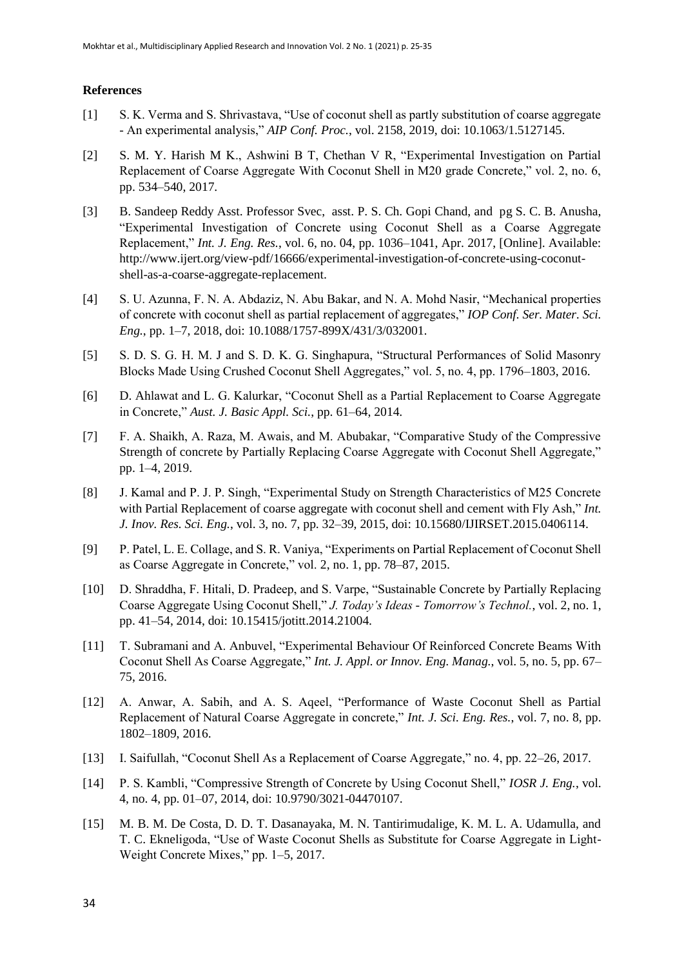#### **References**

- [1] S. K. Verma and S. Shrivastava, "Use of coconut shell as partly substitution of coarse aggregate - An experimental analysis," *AIP Conf. Proc.*, vol. 2158, 2019, doi: 10.1063/1.5127145.
- [2] S. M. Y. Harish M K., Ashwini B T, Chethan V R, "Experimental Investigation on Partial Replacement of Coarse Aggregate With Coconut Shell in M20 grade Concrete," vol. 2, no. 6, pp. 534–540, 2017.
- [3] B. Sandeep Reddy Asst. Professor Svec, asst. P. S. Ch. Gopi Chand, and pg S. C. B. Anusha, "Experimental Investigation of Concrete using Coconut Shell as a Coarse Aggregate Replacement," *Int. J. Eng. Res.*, vol. 6, no. 04, pp. 1036–1041, Apr. 2017, [Online]. Available: http://www.ijert.org/view-pdf/16666/experimental-investigation-of-concrete-using-coconutshell-as-a-coarse-aggregate-replacement.
- [4] S. U. Azunna, F. N. A. Abdaziz, N. Abu Bakar, and N. A. Mohd Nasir, "Mechanical properties of concrete with coconut shell as partial replacement of aggregates," *IOP Conf. Ser. Mater. Sci. Eng.*, pp. 1–7, 2018, doi: 10.1088/1757-899X/431/3/032001.
- [5] S. D. S. G. H. M. J and S. D. K. G. Singhapura, "Structural Performances of Solid Masonry Blocks Made Using Crushed Coconut Shell Aggregates," vol. 5, no. 4, pp. 1796–1803, 2016.
- [6] D. Ahlawat and L. G. Kalurkar, "Coconut Shell as a Partial Replacement to Coarse Aggregate in Concrete," *Aust. J. Basic Appl. Sci.*, pp. 61–64, 2014.
- [7] F. A. Shaikh, A. Raza, M. Awais, and M. Abubakar, "Comparative Study of the Compressive Strength of concrete by Partially Replacing Coarse Aggregate with Coconut Shell Aggregate," pp. 1–4, 2019.
- [8] J. Kamal and P. J. P. Singh, "Experimental Study on Strength Characteristics of M25 Concrete with Partial Replacement of coarse aggregate with coconut shell and cement with Fly Ash," *Int. J. Inov. Res. Sci. Eng.*, vol. 3, no. 7, pp. 32–39, 2015, doi: 10.15680/IJIRSET.2015.0406114.
- [9] P. Patel, L. E. Collage, and S. R. Vaniya, "Experiments on Partial Replacement of Coconut Shell as Coarse Aggregate in Concrete," vol. 2, no. 1, pp. 78–87, 2015.
- [10] D. Shraddha, F. Hitali, D. Pradeep, and S. Varpe, "Sustainable Concrete by Partially Replacing Coarse Aggregate Using Coconut Shell," *J. Today's Ideas - Tomorrow's Technol.*, vol. 2, no. 1, pp. 41–54, 2014, doi: 10.15415/jotitt.2014.21004.
- [11] T. Subramani and A. Anbuvel, "Experimental Behaviour Of Reinforced Concrete Beams With Coconut Shell As Coarse Aggregate," *Int. J. Appl. or Innov. Eng. Manag.*, vol. 5, no. 5, pp. 67– 75, 2016.
- [12] A. Anwar, A. Sabih, and A. S. Aqeel, "Performance of Waste Coconut Shell as Partial Replacement of Natural Coarse Aggregate in concrete," *Int. J. Sci. Eng. Res.*, vol. 7, no. 8, pp. 1802–1809, 2016.
- [13] I. Saifullah, "Coconut Shell As a Replacement of Coarse Aggregate," no. 4, pp. 22–26, 2017.
- [14] P. S. Kambli, "Compressive Strength of Concrete by Using Coconut Shell," *IOSR J. Eng.*, vol. 4, no. 4, pp. 01–07, 2014, doi: 10.9790/3021-04470107.
- [15] M. B. M. De Costa, D. D. T. Dasanayaka, M. N. Tantirimudalige, K. M. L. A. Udamulla, and T. C. Ekneligoda, "Use of Waste Coconut Shells as Substitute for Coarse Aggregate in Light-Weight Concrete Mixes," pp. 1–5, 2017.